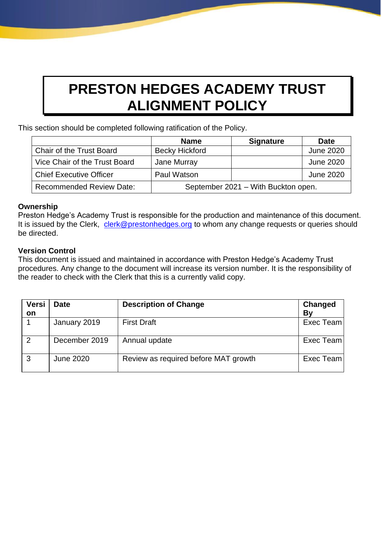# **PRESTON HEDGES ACADEMY TRUST ALIGNMENT POLICY**

This section should be completed following ratification of the Policy.

|                                 | <b>Name</b>                         | <b>Signature</b> | <b>Date</b>      |
|---------------------------------|-------------------------------------|------------------|------------------|
| Chair of the Trust Board        | <b>Becky Hickford</b>               |                  | <b>June 2020</b> |
| Vice Chair of the Trust Board   | Jane Murray                         |                  | <b>June 2020</b> |
| <b>Chief Executive Officer</b>  | Paul Watson                         |                  | <b>June 2020</b> |
| <b>Recommended Review Date:</b> | September 2021 - With Buckton open. |                  |                  |

# **Ownership**

Preston Hedge's Academy Trust is responsible for the production and maintenance of this document. It is issued by the Clerk, clerk@prestonhedges.org to whom any change requests or queries should be directed.

# **Version Control**

This document is issued and maintained in accordance with Preston Hedge's Academy Trust procedures. Any change to the document will increase its version number. It is the responsibility of the reader to check with the Clerk that this is a currently valid copy.

| <b>Versi</b><br>on | <b>Date</b>      | <b>Description of Change</b>         | Changed<br>Bv |
|--------------------|------------------|--------------------------------------|---------------|
|                    | January 2019     | <b>First Draft</b>                   | Exec Team     |
| $\mathcal{P}$      | December 2019    | Annual update                        | Exec Team     |
| 3                  | <b>June 2020</b> | Review as required before MAT growth | Exec Team     |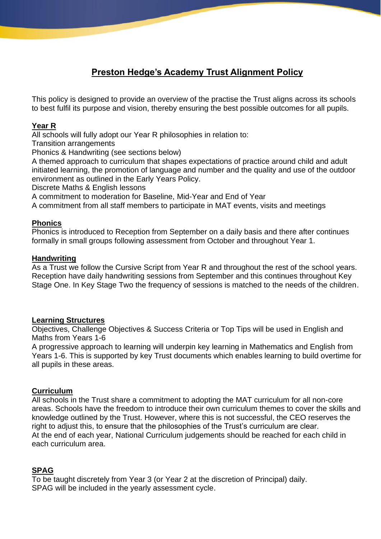# **Preston Hedge's Academy Trust Alignment Policy**

This policy is designed to provide an overview of the practise the Trust aligns across its schools to best fulfil its purpose and vision, thereby ensuring the best possible outcomes for all pupils.

### **Year R**

All schools will fully adopt our Year R philosophies in relation to:

Transition arrangements

Phonics & Handwriting (see sections below)

A themed approach to curriculum that shapes expectations of practice around child and adult initiated learning, the promotion of language and number and the quality and use of the outdoor environment as outlined in the Early Years Policy.

Discrete Maths & English lessons

A commitment to moderation for Baseline, Mid-Year and End of Year

A commitment from all staff members to participate in MAT events, visits and meetings

# **Phonics**

Phonics is introduced to Reception from September on a daily basis and there after continues formally in small groups following assessment from October and throughout Year 1.

#### **Handwriting**

As a Trust we follow the Cursive Script from Year R and throughout the rest of the school years. Reception have daily handwriting sessions from September and this continues throughout Key Stage One. In Key Stage Two the frequency of sessions is matched to the needs of the children.

#### **Learning Structures**

Objectives, Challenge Objectives & Success Criteria or Top Tips will be used in English and Maths from Years 1-6

A progressive approach to learning will underpin key learning in Mathematics and English from Years 1-6. This is supported by key Trust documents which enables learning to build overtime for all pupils in these areas.

# **Curriculum**

All schools in the Trust share a commitment to adopting the MAT curriculum for all non-core areas. Schools have the freedom to introduce their own curriculum themes to cover the skills and knowledge outlined by the Trust. However, where this is not successful, the CEO reserves the right to adjust this, to ensure that the philosophies of the Trust's curriculum are clear. At the end of each year, National Curriculum judgements should be reached for each child in each curriculum area.

# **SPAG**

To be taught discretely from Year 3 (or Year 2 at the discretion of Principal) daily. SPAG will be included in the yearly assessment cycle.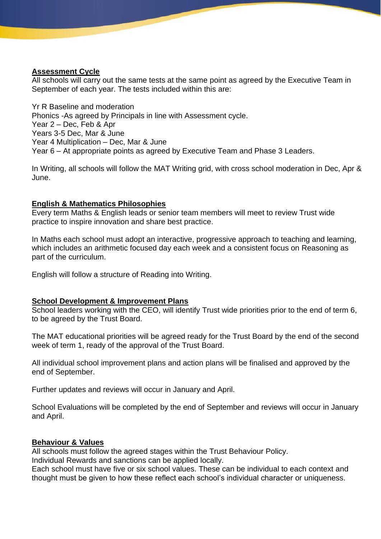#### **Assessment Cycle**

All schools will carry out the same tests at the same point as agreed by the Executive Team in September of each year. The tests included within this are:

Yr R Baseline and moderation Phonics -As agreed by Principals in line with Assessment cycle. Year 2 – Dec, Feb & Apr Years 3-5 Dec, Mar & June Year 4 Multiplication – Dec, Mar & June Year 6 – At appropriate points as agreed by Executive Team and Phase 3 Leaders.

In Writing, all schools will follow the MAT Writing grid, with cross school moderation in Dec, Apr & June.

#### **English & Mathematics Philosophies**

Every term Maths & English leads or senior team members will meet to review Trust wide practice to inspire innovation and share best practice.

In Maths each school must adopt an interactive, progressive approach to teaching and learning, which includes an arithmetic focused day each week and a consistent focus on Reasoning as part of the curriculum.

English will follow a structure of Reading into Writing.

#### **School Development & Improvement Plans**

School leaders working with the CEO, will identify Trust wide priorities prior to the end of term 6, to be agreed by the Trust Board.

The MAT educational priorities will be agreed ready for the Trust Board by the end of the second week of term 1, ready of the approval of the Trust Board.

All individual school improvement plans and action plans will be finalised and approved by the end of September.

Further updates and reviews will occur in January and April.

School Evaluations will be completed by the end of September and reviews will occur in January and April.

#### **Behaviour & Values**

All schools must follow the agreed stages within the Trust Behaviour Policy.

Individual Rewards and sanctions can be applied locally.

Each school must have five or six school values. These can be individual to each context and thought must be given to how these reflect each school's individual character or uniqueness.